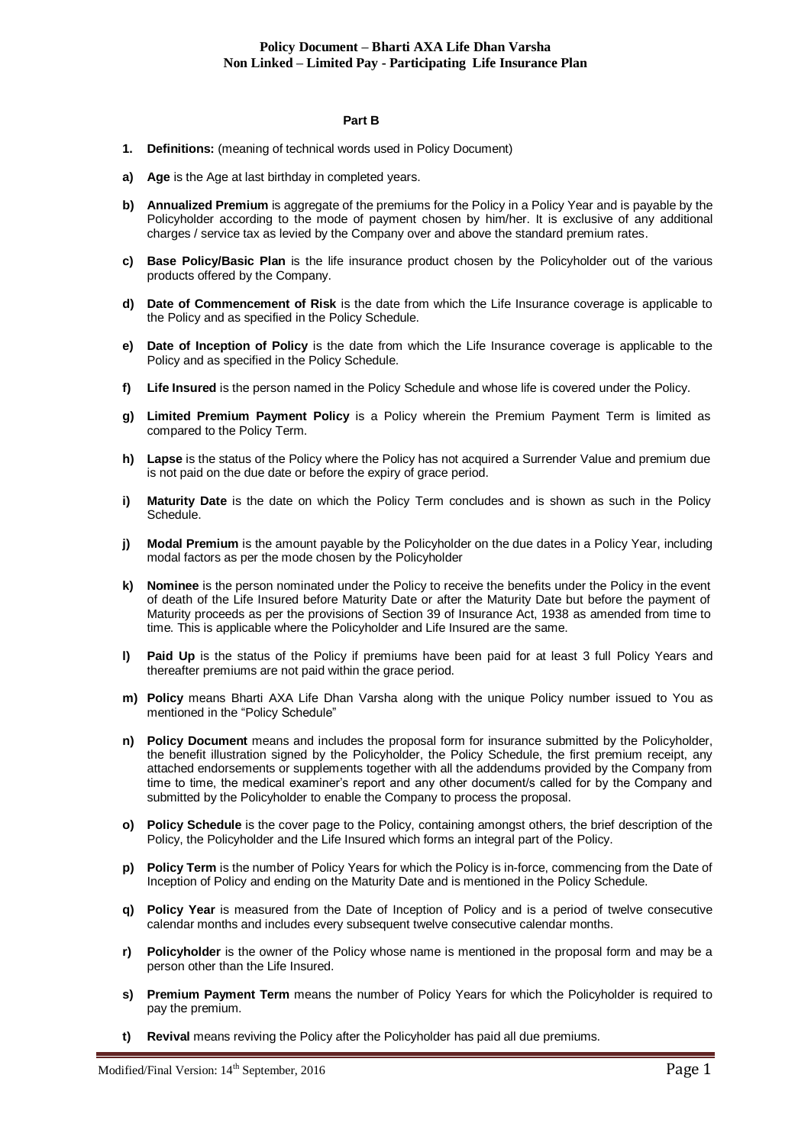#### **Part B**

- **1. Definitions:** (meaning of technical words used in Policy Document)
- **a) Age** is the Age at last birthday in completed years.
- **b) Annualized Premium** is aggregate of the premiums for the Policy in a Policy Year and is payable by the Policyholder according to the mode of payment chosen by him/her. It is exclusive of any additional charges / service tax as levied by the Company over and above the standard premium rates.
- **c) Base Policy/Basic Plan** is the life insurance product chosen by the Policyholder out of the various products offered by the Company.
- **d) Date of Commencement of Risk** is the date from which the Life Insurance coverage is applicable to the Policy and as specified in the Policy Schedule.
- **e) Date of Inception of Policy** is the date from which the Life Insurance coverage is applicable to the Policy and as specified in the Policy Schedule.
- **f) Life Insured** is the person named in the Policy Schedule and whose life is covered under the Policy.
- **g) Limited Premium Payment Policy** is a Policy wherein the Premium Payment Term is limited as compared to the Policy Term.
- **h) Lapse** is the status of the Policy where the Policy has not acquired a Surrender Value and premium due is not paid on the due date or before the expiry of grace period.
- **i) Maturity Date** is the date on which the Policy Term concludes and is shown as such in the Policy Schedule.
- **j) Modal Premium** is the amount payable by the Policyholder on the due dates in a Policy Year, including modal factors as per the mode chosen by the Policyholder
- **k) Nominee** is the person nominated under the Policy to receive the benefits under the Policy in the event of death of the Life Insured before Maturity Date or after the Maturity Date but before the payment of Maturity proceeds as per the provisions of Section 39 of Insurance Act, 1938 as amended from time to time. This is applicable where the Policyholder and Life Insured are the same.
- **l) Paid Up** is the status of the Policy if premiums have been paid for at least 3 full Policy Years and thereafter premiums are not paid within the grace period.
- **m) Policy** means Bharti AXA Life Dhan Varsha along with the unique Policy number issued to You as mentioned in the "Policy Schedule"
- **n) Policy Document** means and includes the proposal form for insurance submitted by the Policyholder, the benefit illustration signed by the Policyholder, the Policy Schedule, the first premium receipt, any attached endorsements or supplements together with all the addendums provided by the Company from time to time, the medical examiner's report and any other document/s called for by the Company and submitted by the Policyholder to enable the Company to process the proposal.
- **o) Policy Schedule** is the cover page to the Policy, containing amongst others, the brief description of the Policy, the Policyholder and the Life Insured which forms an integral part of the Policy.
- **p) Policy Term** is the number of Policy Years for which the Policy is in-force, commencing from the Date of Inception of Policy and ending on the Maturity Date and is mentioned in the Policy Schedule.
- **q) Policy Year** is measured from the Date of Inception of Policy and is a period of twelve consecutive calendar months and includes every subsequent twelve consecutive calendar months.
- **r) Policyholder** is the owner of the Policy whose name is mentioned in the proposal form and may be a person other than the Life Insured.
- **s) Premium Payment Term** means the number of Policy Years for which the Policyholder is required to pay the premium.
- **t) Revival** means reviving the Policy after the Policyholder has paid all due premiums.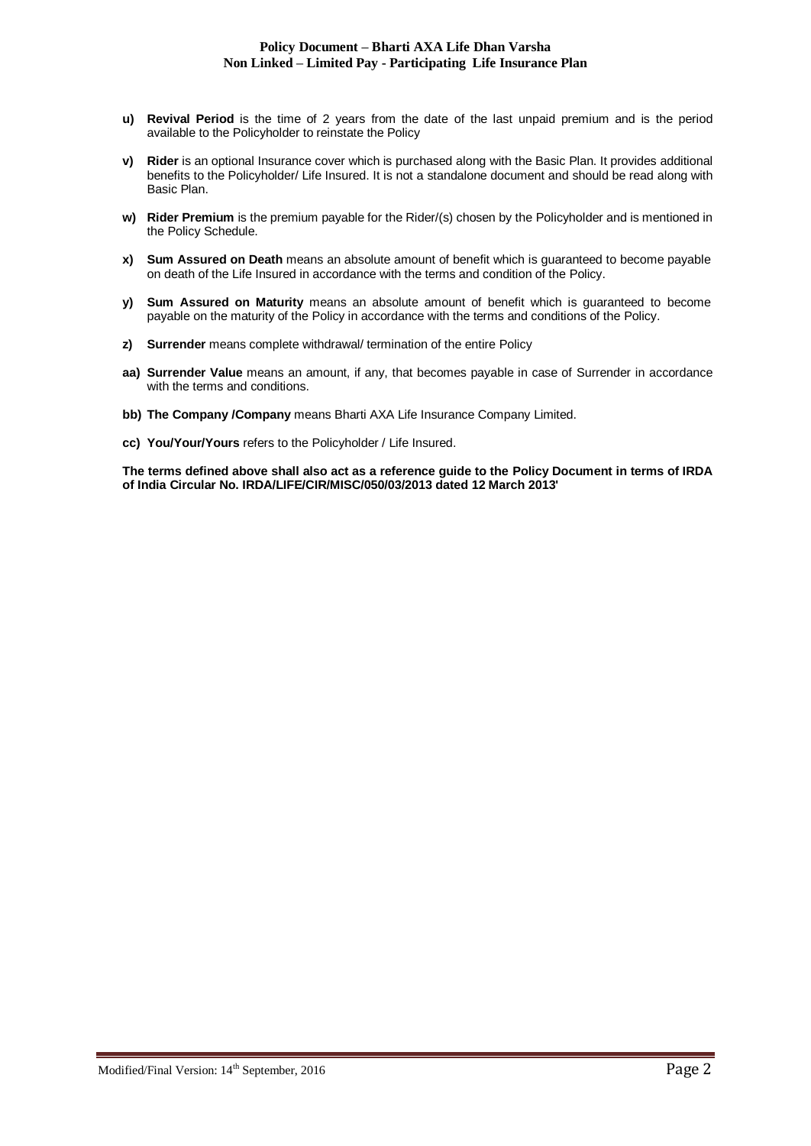- **u) Revival Period** is the time of 2 years from the date of the last unpaid premium and is the period available to the Policyholder to reinstate the Policy
- **v) Rider** is an optional Insurance cover which is purchased along with the Basic Plan. It provides additional benefits to the Policyholder/ Life Insured. It is not a standalone document and should be read along with Basic Plan.
- **w) Rider Premium** is the premium payable for the Rider/(s) chosen by the Policyholder and is mentioned in the Policy Schedule.
- **x) Sum Assured on Death** means an absolute amount of benefit which is guaranteed to become payable on death of the Life Insured in accordance with the terms and condition of the Policy.
- **y) Sum Assured on Maturity** means an absolute amount of benefit which is guaranteed to become payable on the maturity of the Policy in accordance with the terms and conditions of the Policy.
- **z) Surrender** means complete withdrawal/ termination of the entire Policy
- **aa) Surrender Value** means an amount, if any, that becomes payable in case of Surrender in accordance with the terms and conditions.
- **bb) The Company /Company** means Bharti AXA Life Insurance Company Limited.
- cc) You/Your/Yours refers to the Policyholder / Life Insured.

**The terms defined above shall also act as a reference guide to the Policy Document in terms of IRDA of India Circular No. IRDA/LIFE/CIR/MISC/050/03/2013 dated 12 March 2013'**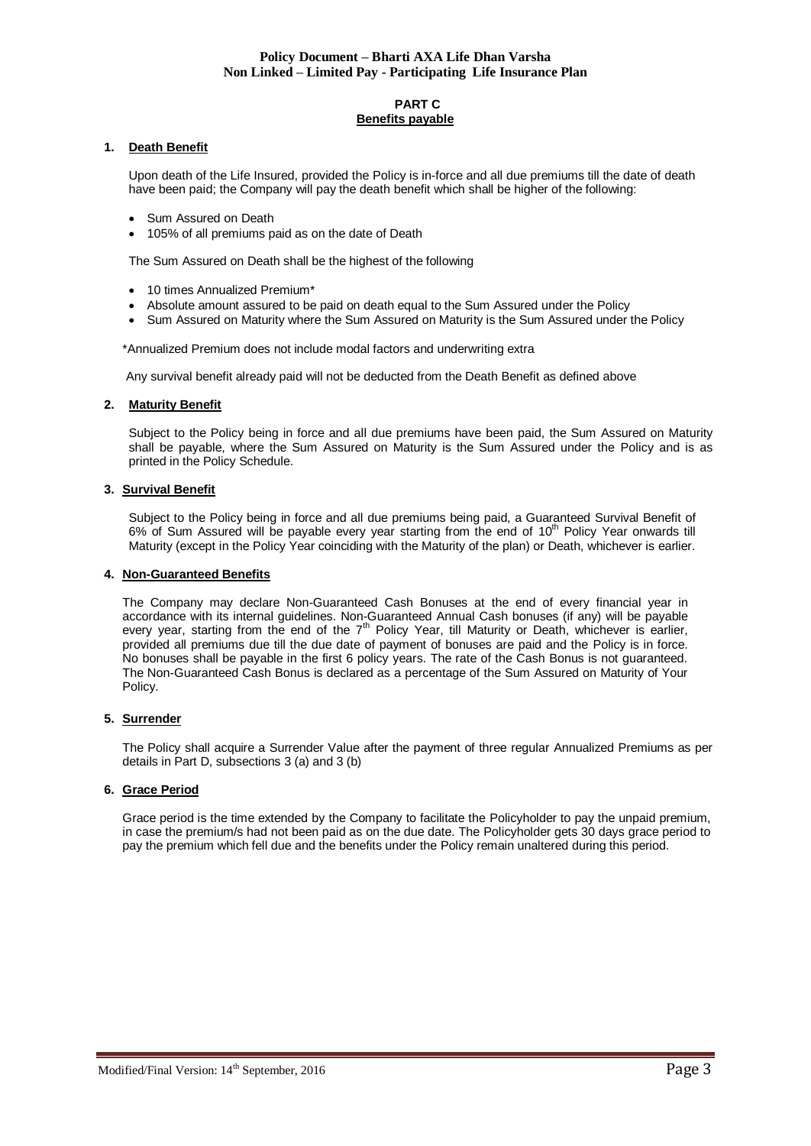# **PART C Benefits payable**

# **1. Death Benefit**

Upon death of the Life Insured, provided the Policy is in-force and all due premiums till the date of death have been paid; the Company will pay the death benefit which shall be higher of the following:

- Sum Assured on Death
- 105% of all premiums paid as on the date of Death

The Sum Assured on Death shall be the highest of the following

- 10 times Annualized Premium\*
- Absolute amount assured to be paid on death equal to the Sum Assured under the Policy
- Sum Assured on Maturity where the Sum Assured on Maturity is the Sum Assured under the Policy

\*Annualized Premium does not include modal factors and underwriting extra

Any survival benefit already paid will not be deducted from the Death Benefit as defined above

#### **2. Maturity Benefit**

Subject to the Policy being in force and all due premiums have been paid, the Sum Assured on Maturity shall be payable, where the Sum Assured on Maturity is the Sum Assured under the Policy and is as printed in the Policy Schedule.

# **3. Survival Benefit**

Subject to the Policy being in force and all due premiums being paid, a Guaranteed Survival Benefit of 6% of Sum Assured will be payable every year starting from the end of  $10<sup>th</sup>$  Policy Year onwards till Maturity (except in the Policy Year coinciding with the Maturity of the plan) or Death, whichever is earlier.

### **4. Non-Guaranteed Benefits**

The Company may declare Non-Guaranteed Cash Bonuses at the end of every financial year in accordance with its internal guidelines. Non-Guaranteed Annual Cash bonuses (if any) will be payable every year, starting from the end of the 7<sup>th</sup> Policy Year, till Maturity or Death, whichever is earlier, provided all premiums due till the due date of payment of bonuses are paid and the Policy is in force. No bonuses shall be payable in the first 6 policy years. The rate of the Cash Bonus is not guaranteed. The Non-Guaranteed Cash Bonus is declared as a percentage of the Sum Assured on Maturity of Your Policy.

# **5. Surrender**

The Policy shall acquire a Surrender Value after the payment of three regular Annualized Premiums as per details in Part D, subsections 3 (a) and 3 (b)

# **6. Grace Period**

Grace period is the time extended by the Company to facilitate the Policyholder to pay the unpaid premium, in case the premium/s had not been paid as on the due date. The Policyholder gets 30 days grace period to pay the premium which fell due and the benefits under the Policy remain unaltered during this period.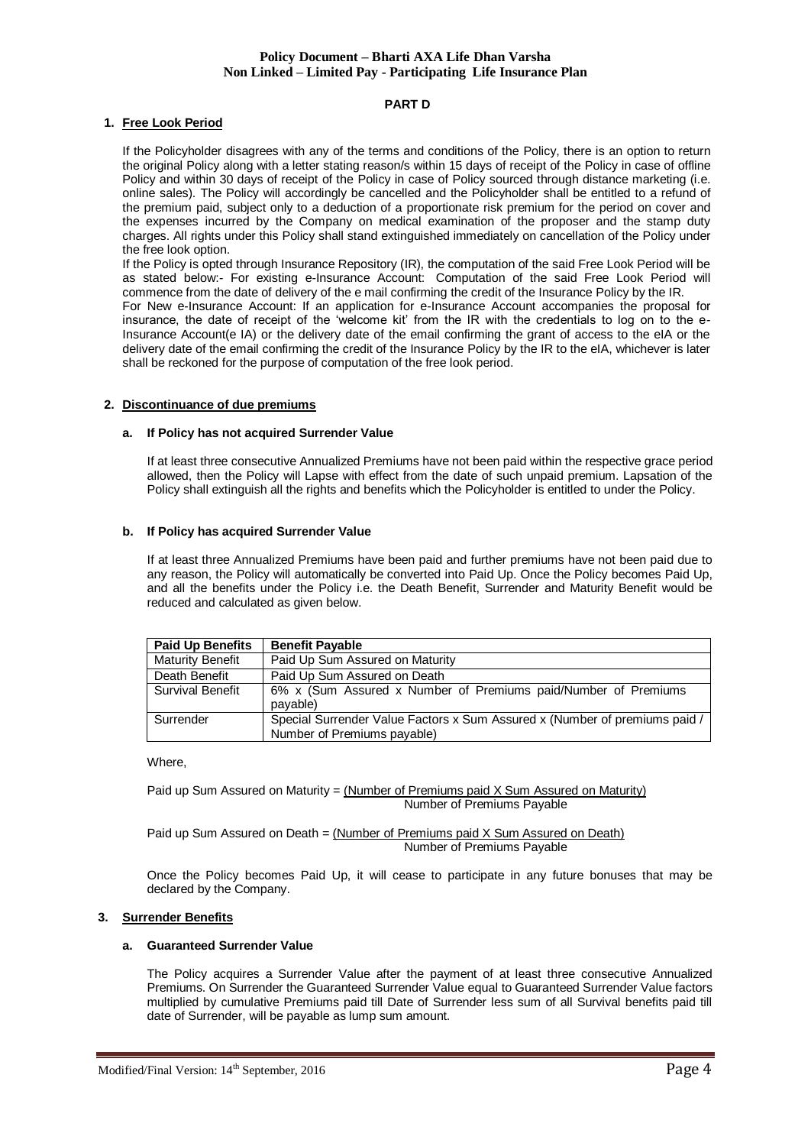## **PART D**

## **1. Free Look Period**

If the Policyholder disagrees with any of the terms and conditions of the Policy, there is an option to return the original Policy along with a letter stating reason/s within 15 days of receipt of the Policy in case of offline Policy and within 30 days of receipt of the Policy in case of Policy sourced through distance marketing (i.e. online sales). The Policy will accordingly be cancelled and the Policyholder shall be entitled to a refund of the premium paid, subject only to a deduction of a proportionate risk premium for the period on cover and the expenses incurred by the Company on medical examination of the proposer and the stamp duty charges. All rights under this Policy shall stand extinguished immediately on cancellation of the Policy under the free look option.

If the Policy is opted through Insurance Repository (IR), the computation of the said Free Look Period will be as stated below:- For existing e-Insurance Account: Computation of the said Free Look Period will commence from the date of delivery of the e mail confirming the credit of the Insurance Policy by the IR. For New e-Insurance Account: If an application for e-Insurance Account accompanies the proposal for insurance, the date of receipt of the 'welcome kit' from the IR with the credentials to log on to the e-Insurance Account(e IA) or the delivery date of the email confirming the grant of access to the eIA or the delivery date of the email confirming the credit of the Insurance Policy by the IR to the eIA, whichever is later shall be reckoned for the purpose of computation of the free look period.

#### **2. Discontinuance of due premiums**

#### **a. If Policy has not acquired Surrender Value**

If at least three consecutive Annualized Premiums have not been paid within the respective grace period allowed, then the Policy will Lapse with effect from the date of such unpaid premium. Lapsation of the Policy shall extinguish all the rights and benefits which the Policyholder is entitled to under the Policy.

## **b. If Policy has acquired Surrender Value**

If at least three Annualized Premiums have been paid and further premiums have not been paid due to any reason, the Policy will automatically be converted into Paid Up. Once the Policy becomes Paid Up, and all the benefits under the Policy i.e. the Death Benefit, Surrender and Maturity Benefit would be reduced and calculated as given below.

| <b>Paid Up Benefits</b> | <b>Benefit Payable</b>                                                                                    |
|-------------------------|-----------------------------------------------------------------------------------------------------------|
| <b>Maturity Benefit</b> | Paid Up Sum Assured on Maturity                                                                           |
| Death Benefit           | Paid Up Sum Assured on Death                                                                              |
| <b>Survival Benefit</b> | 6% x (Sum Assured x Number of Premiums paid/Number of Premiums<br>payable)                                |
| Surrender               | Special Surrender Value Factors x Sum Assured x (Number of premiums paid /<br>Number of Premiums payable) |

#### Where,

#### Paid up Sum Assured on Maturity = (Number of Premiums paid X Sum Assured on Maturity) Number of Premiums Payable

## Paid up Sum Assured on Death = (Number of Premiums paid X Sum Assured on Death) Number of Premiums Payable

Once the Policy becomes Paid Up, it will cease to participate in any future bonuses that may be declared by the Company.

#### **3. Surrender Benefits**

## **a. Guaranteed Surrender Value**

The Policy acquires a Surrender Value after the payment of at least three consecutive Annualized Premiums. On Surrender the Guaranteed Surrender Value equal to Guaranteed Surrender Value factors multiplied by cumulative Premiums paid till Date of Surrender less sum of all Survival benefits paid till date of Surrender, will be payable as lump sum amount.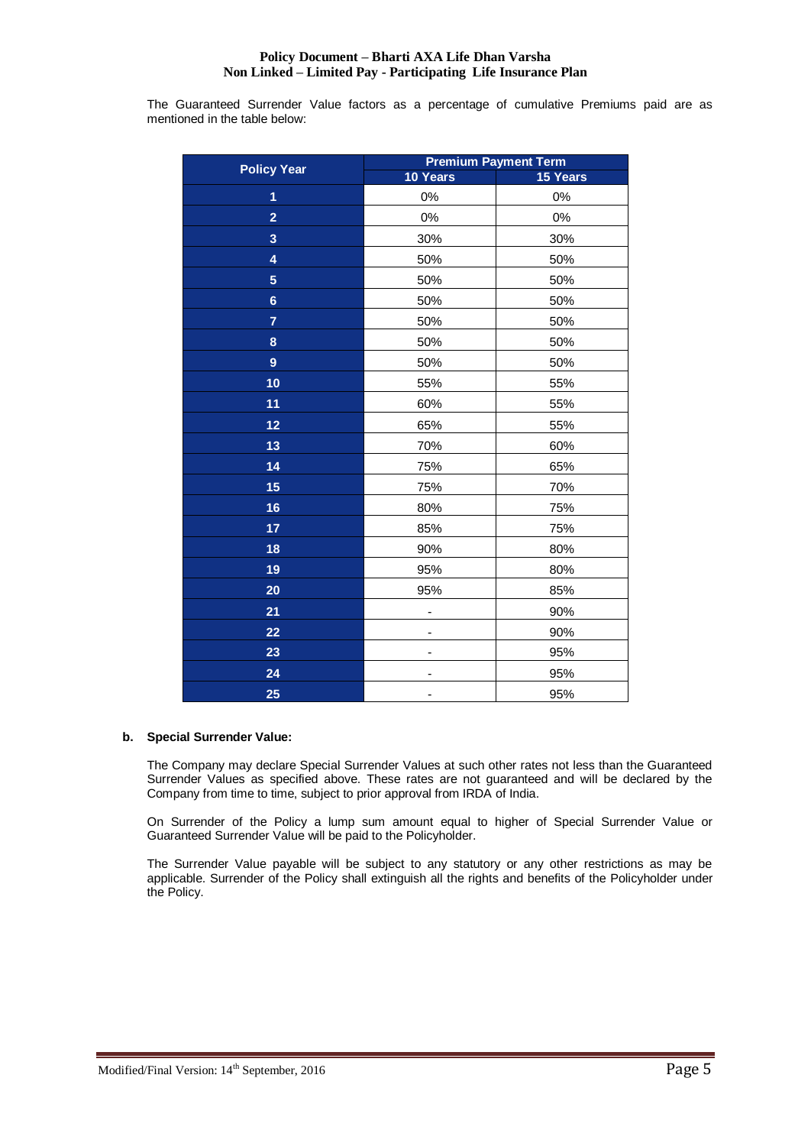The Guaranteed Surrender Value factors as a percentage of cumulative Premiums paid are as mentioned in the table below:

| <b>Policy Year</b> | <b>Premium Payment Term</b> |          |  |
|--------------------|-----------------------------|----------|--|
|                    | 10 Years                    | 15 Years |  |
| 1                  | 0%                          | 0%       |  |
| $\overline{2}$     | 0%                          | 0%       |  |
| 3                  | 30%                         | 30%      |  |
| 4                  | 50%                         | 50%      |  |
| $\overline{5}$     | 50%                         | 50%      |  |
| $6\phantom{a}$     | 50%                         | 50%      |  |
| $\overline{7}$     | 50%                         | 50%      |  |
| 8                  | 50%                         | 50%      |  |
| $\overline{9}$     | 50%                         | 50%      |  |
| 10                 | 55%                         | 55%      |  |
| 11                 | 60%                         | 55%      |  |
| 12                 | 65%                         | 55%      |  |
| 13                 | 70%                         | 60%      |  |
| 14                 | 75%                         | 65%      |  |
| 15                 | 75%                         | 70%      |  |
| 16                 | 80%                         | 75%      |  |
| 17                 | 85%                         | 75%      |  |
| 18                 | 90%                         | 80%      |  |
| 19                 | 95%                         | 80%      |  |
| 20                 | 95%                         | 85%      |  |
| 21                 |                             | 90%      |  |
| 22                 | -                           | 90%      |  |
| 23                 | -                           | 95%      |  |
| 24                 |                             | 95%      |  |
| 25                 | -                           | 95%      |  |

#### **b. Special Surrender Value:**

The Company may declare Special Surrender Values at such other rates not less than the Guaranteed Surrender Values as specified above. These rates are not guaranteed and will be declared by the Company from time to time, subject to prior approval from IRDA of India.

On Surrender of the Policy a lump sum amount equal to higher of Special Surrender Value or Guaranteed Surrender Value will be paid to the Policyholder.

The Surrender Value payable will be subject to any statutory or any other restrictions as may be applicable. Surrender of the Policy shall extinguish all the rights and benefits of the Policyholder under the Policy.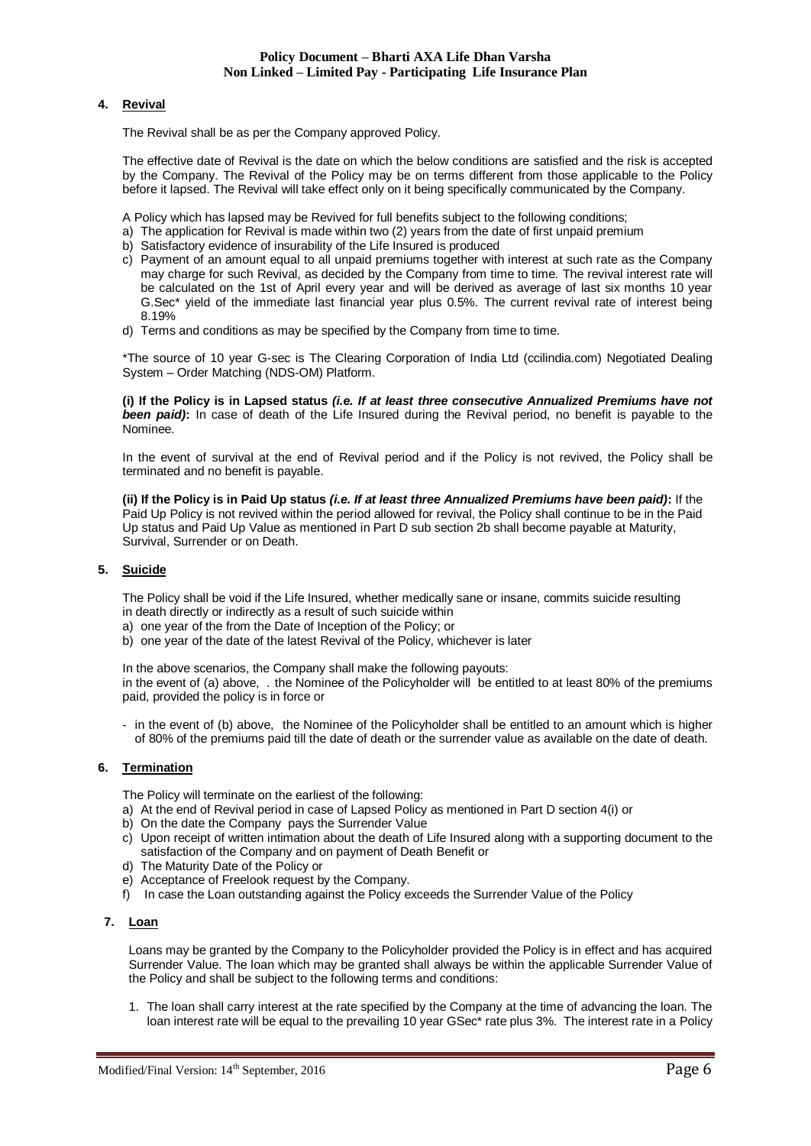# **4. Revival**

The Revival shall be as per the Company approved Policy.

The effective date of Revival is the date on which the below conditions are satisfied and the risk is accepted by the Company. The Revival of the Policy may be on terms different from those applicable to the Policy before it lapsed. The Revival will take effect only on it being specifically communicated by the Company.

A Policy which has lapsed may be Revived for full benefits subject to the following conditions;

- a) The application for Revival is made within two (2) years from the date of first unpaid premium
- b) Satisfactory evidence of insurability of the Life Insured is produced
- c) Payment of an amount equal to all unpaid premiums together with interest at such rate as the Company may charge for such Revival, as decided by the Company from time to time. The revival interest rate will be calculated on the 1st of April every year and will be derived as average of last six months 10 year G.Sec\* yield of the immediate last financial year plus 0.5%. The current revival rate of interest being 8.19%
- d) Terms and conditions as may be specified by the Company from time to time.

\*The source of 10 year G-sec is The Clearing Corporation of India Ltd (ccilindia.com) Negotiated Dealing System – Order Matching (NDS-OM) Platform.

**(i) If the Policy is in Lapsed status** *(i.e. If at least three consecutive Annualized Premiums have not been paid)***:** In case of death of the Life Insured during the Revival period, no benefit is payable to the Nominee.

In the event of survival at the end of Revival period and if the Policy is not revived, the Policy shall be terminated and no benefit is payable.

**(ii) If the Policy is in Paid Up status** *(i.e. If at least three Annualized Premiums have been paid)***:** If the Paid Up Policy is not revived within the period allowed for revival, the Policy shall continue to be in the Paid Up status and Paid Up Value as mentioned in Part D sub section 2b shall become payable at Maturity, Survival, Surrender or on Death.

# **5. Suicide**

The Policy shall be void if the Life Insured, whether medically sane or insane, commits suicide resulting in death directly or indirectly as a result of such suicide within

- a) one year of the from the Date of Inception of the Policy; or
- b) one year of the date of the latest Revival of the Policy, whichever is later

In the above scenarios, the Company shall make the following payouts: in the event of (a) above, . the Nominee of the Policyholder will be entitled to at least 80% of the premiums paid, provided the policy is in force or

- in the event of (b) above, the Nominee of the Policyholder shall be entitled to an amount which is higher of 80% of the premiums paid till the date of death or the surrender value as available on the date of death.

# **6. Termination**

The Policy will terminate on the earliest of the following:

- a) At the end of Revival period in case of Lapsed Policy as mentioned in Part D section 4(i) or
- b) On the date the Company pays the Surrender Value
- c) Upon receipt of written intimation about the death of Life Insured along with a supporting document to the satisfaction of the Company and on payment of Death Benefit or
- d) The Maturity Date of the Policy or
- e) Acceptance of Freelook request by the Company.
- f) In case the Loan outstanding against the Policy exceeds the Surrender Value of the Policy

# **7. Loan**

Loans may be granted by the Company to the Policyholder provided the Policy is in effect and has acquired Surrender Value. The loan which may be granted shall always be within the applicable Surrender Value of the Policy and shall be subject to the following terms and conditions:

1. The loan shall carry interest at the rate specified by the Company at the time of advancing the loan. The loan interest rate will be equal to the prevailing 10 year GSec<sup>\*</sup> rate plus 3%. The interest rate in a Policy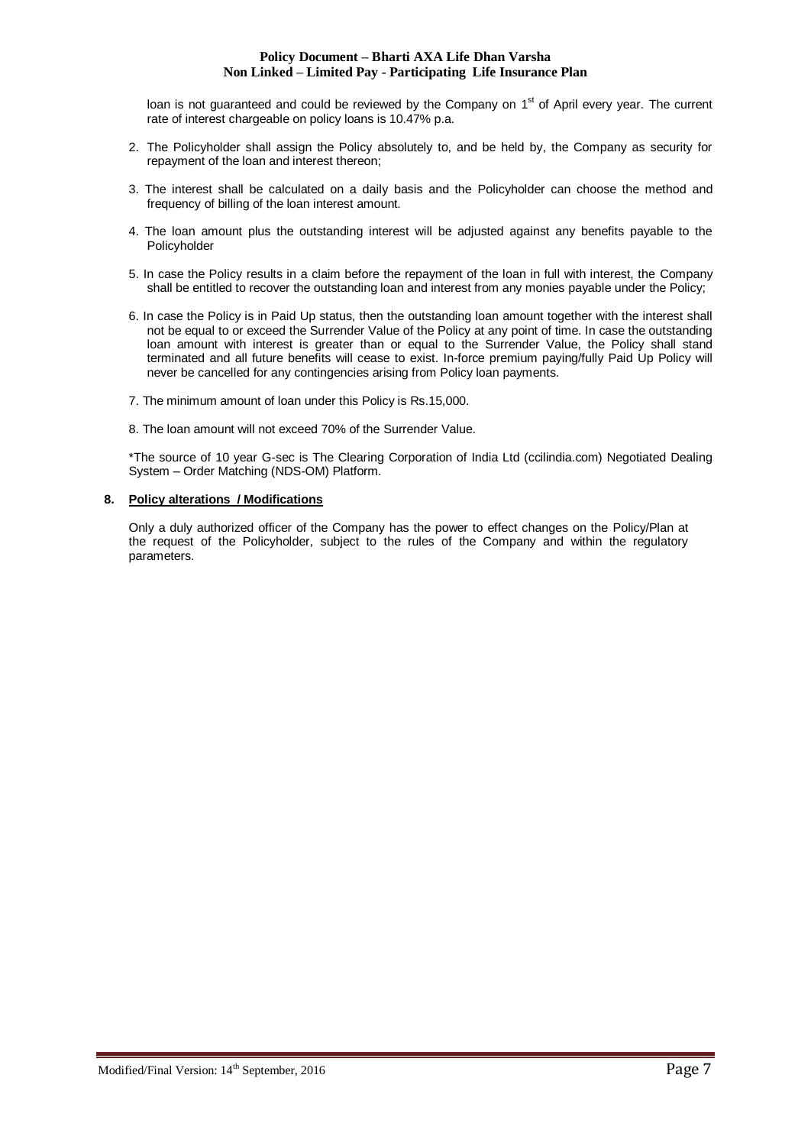loan is not guaranteed and could be reviewed by the Company on 1<sup>st</sup> of April every year. The current rate of interest chargeable on policy loans is 10.47% p.a.

- 2. The Policyholder shall assign the Policy absolutely to, and be held by, the Company as security for repayment of the loan and interest thereon;
- 3. The interest shall be calculated on a daily basis and the Policyholder can choose the method and frequency of billing of the loan interest amount.
- 4. The loan amount plus the outstanding interest will be adjusted against any benefits payable to the Policyholder
- 5. In case the Policy results in a claim before the repayment of the loan in full with interest, the Company shall be entitled to recover the outstanding loan and interest from any monies payable under the Policy;
- 6. In case the Policy is in Paid Up status, then the outstanding loan amount together with the interest shall not be equal to or exceed the Surrender Value of the Policy at any point of time. In case the outstanding loan amount with interest is greater than or equal to the Surrender Value, the Policy shall stand terminated and all future benefits will cease to exist. In-force premium paying/fully Paid Up Policy will never be cancelled for any contingencies arising from Policy loan payments.
- 7. The minimum amount of loan under this Policy is Rs.15,000.
- 8. The loan amount will not exceed 70% of the Surrender Value.

\*The source of 10 year G-sec is The Clearing Corporation of India Ltd (ccilindia.com) Negotiated Dealing System – Order Matching (NDS-OM) Platform.

# **8. Policy alterations / Modifications**

Only a duly authorized officer of the Company has the power to effect changes on the Policy/Plan at the request of the Policyholder, subject to the rules of the Company and within the regulatory parameters.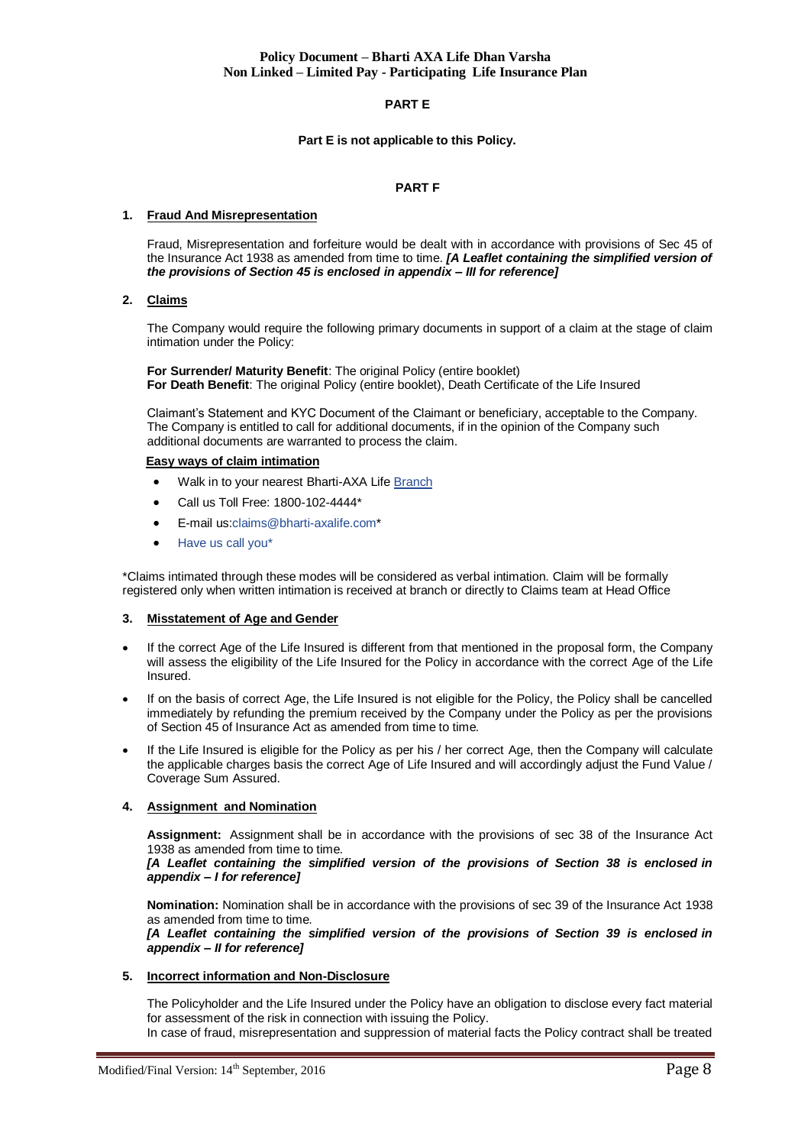# **PART E**

#### **Part E is not applicable to this Policy.**

# **PART F**

# **1. Fraud And Misrepresentation**

Fraud, Misrepresentation and forfeiture would be dealt with in accordance with provisions of Sec 45 of the Insurance Act 1938 as amended from time to time. *[A Leaflet containing the simplified version of the provisions of Section 45 is enclosed in appendix – III for reference]*

# **2. Claims**

The Company would require the following primary documents in support of a claim at the stage of claim intimation under the Policy:

**For Surrender/ Maturity Benefit**: The original Policy (entire booklet) **For Death Benefit**: The original Policy (entire booklet), Death Certificate of the Life Insured

Claimant's Statement and KYC Document of the Claimant or beneficiary, acceptable to the Company. The Company is entitled to call for additional documents, if in the opinion of the Company such additional documents are warranted to process the claim.

## **Easy ways of claim intimation**

- Walk in to your nearest Bharti-AXA Life [Branch](https://www.bharti-axalife.com/applications/branches/)
- Call us Toll Free: 1800-102-4444\*
- E-mail u[s:claims@bharti-axalife.com\\*](mailto:claims@bharti-axalife.com)
- [Have us call you\\*](https://www.bharti-axalife.com/applications/contactus/)

\*Claims intimated through these modes will be considered as verbal intimation. Claim will be formally registered only when written intimation is received at branch or directly to Claims team at Head Office

# **3. Misstatement of Age and Gender**

- If the correct Age of the Life Insured is different from that mentioned in the proposal form, the Company will assess the eligibility of the Life Insured for the Policy in accordance with the correct Age of the Life Insured.
- If on the basis of correct Age, the Life Insured is not eligible for the Policy, the Policy shall be cancelled immediately by refunding the premium received by the Company under the Policy as per the provisions of Section 45 of Insurance Act as amended from time to time.
- If the Life Insured is eligible for the Policy as per his / her correct Age, then the Company will calculate the applicable charges basis the correct Age of Life Insured and will accordingly adjust the Fund Value / Coverage Sum Assured.

# **4. Assignment and Nomination**

**Assignment:** Assignment shall be in accordance with the provisions of sec 38 of the Insurance Act 1938 as amended from time to time.

*[A Leaflet containing the simplified version of the provisions of Section 38 is enclosed in appendix – I for reference]*

**Nomination:** Nomination shall be in accordance with the provisions of sec 39 of the Insurance Act 1938 as amended from time to time.

*[A Leaflet containing the simplified version of the provisions of Section 39 is enclosed in appendix – II for reference]*

#### **5. Incorrect information and Non-Disclosure**

The Policyholder and the Life Insured under the Policy have an obligation to disclose every fact material for assessment of the risk in connection with issuing the Policy.

In case of fraud, misrepresentation and suppression of material facts the Policy contract shall be treated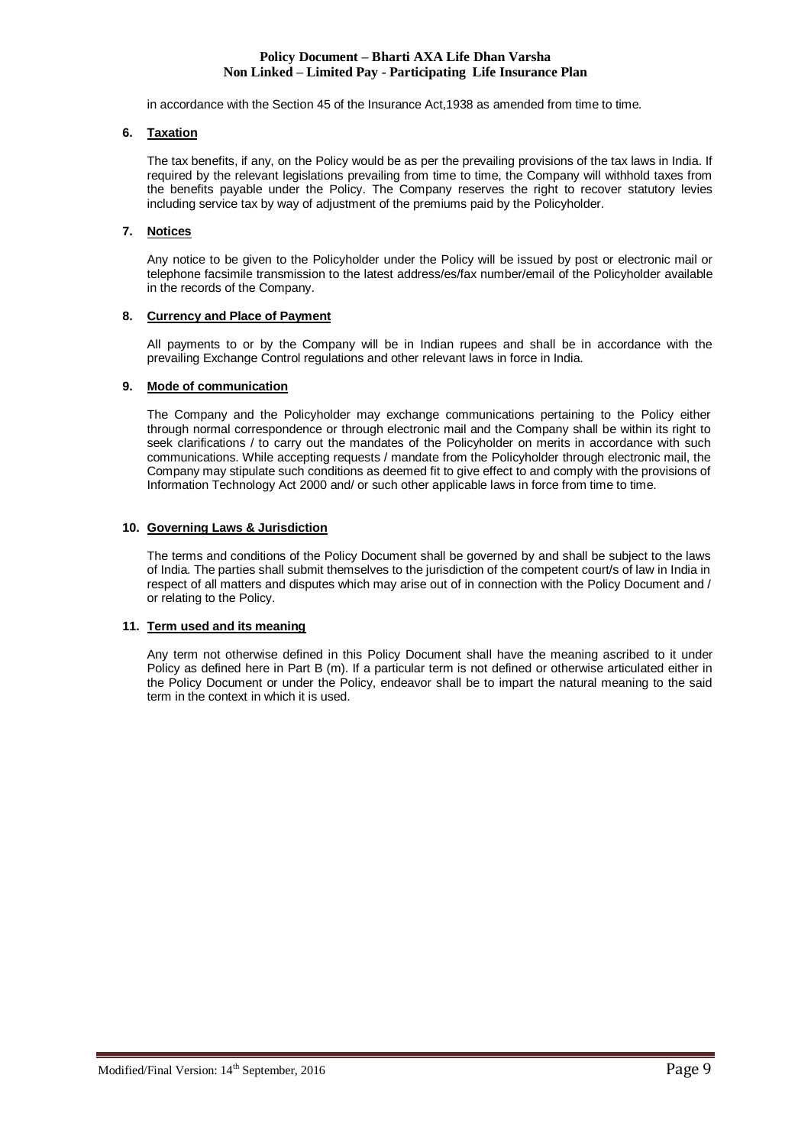in accordance with the Section 45 of the Insurance Act,1938 as amended from time to time.

### **6. Taxation**

The tax benefits, if any, on the Policy would be as per the prevailing provisions of the tax laws in India. If required by the relevant legislations prevailing from time to time, the Company will withhold taxes from the benefits payable under the Policy. The Company reserves the right to recover statutory levies including service tax by way of adjustment of the premiums paid by the Policyholder.

# **7. Notices**

Any notice to be given to the Policyholder under the Policy will be issued by post or electronic mail or telephone facsimile transmission to the latest address/es/fax number/email of the Policyholder available in the records of the Company.

## **8. Currency and Place of Payment**

All payments to or by the Company will be in Indian rupees and shall be in accordance with the prevailing Exchange Control regulations and other relevant laws in force in India.

## **9. Mode of communication**

The Company and the Policyholder may exchange communications pertaining to the Policy either through normal correspondence or through electronic mail and the Company shall be within its right to seek clarifications / to carry out the mandates of the Policyholder on merits in accordance with such communications. While accepting requests / mandate from the Policyholder through electronic mail, the Company may stipulate such conditions as deemed fit to give effect to and comply with the provisions of Information Technology Act 2000 and/ or such other applicable laws in force from time to time.

## **10. Governing Laws & Jurisdiction**

The terms and conditions of the Policy Document shall be governed by and shall be subject to the laws of India. The parties shall submit themselves to the jurisdiction of the competent court/s of law in India in respect of all matters and disputes which may arise out of in connection with the Policy Document and / or relating to the Policy.

# **11. Term used and its meaning**

Any term not otherwise defined in this Policy Document shall have the meaning ascribed to it under Policy as defined here in Part B (m). If a particular term is not defined or otherwise articulated either in the Policy Document or under the Policy, endeavor shall be to impart the natural meaning to the said term in the context in which it is used.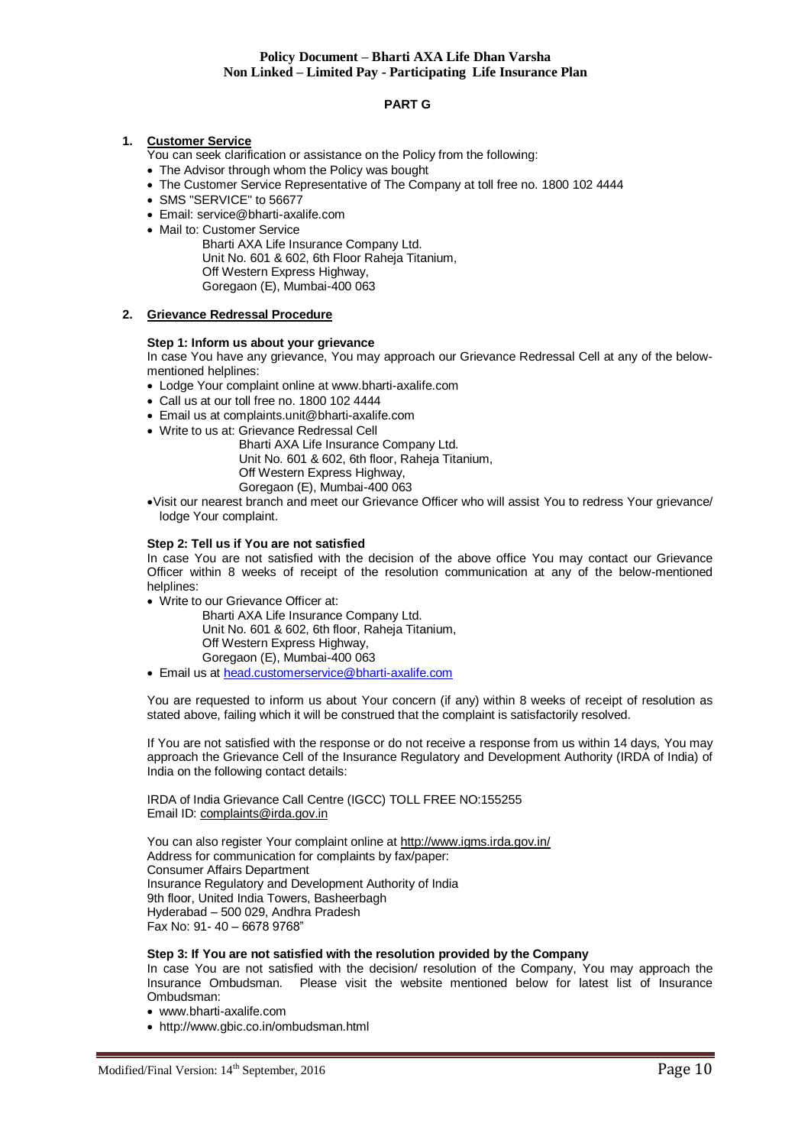# **PART G**

### **1. Customer Service**

You can seek clarification or assistance on the Policy from the following:

- The Advisor through whom the Policy was bought
- The Customer Service Representative of The Company at toll free no. 1800 102 4444
- SMS "SERVICE" to 56677
- Email: service@bharti-axalife.com
- Mail to: Customer Service
	- Bharti AXA Life Insurance Company Ltd. Unit No. 601 & 602, 6th Floor Raheja Titanium, Off Western Express Highway, Goregaon (E), Mumbai-400 063

## **2. Grievance Redressal Procedure**

## **Step 1: Inform us about your grievance**

In case You have any grievance, You may approach our Grievance Redressal Cell at any of the belowmentioned helplines:

- Lodge Your complaint online at www.bharti-axalife.com
- Call us at our toll free no. 1800 102 4444
- Email us at complaints.unit@bharti-axalife.com
- Write to us at: Grievance Redressal Cell

Bharti AXA Life Insurance Company Ltd. Unit No. 601 & 602, 6th floor, Raheja Titanium, Off Western Express Highway, Goregaon (E), Mumbai-400 063

Visit our nearest branch and meet our Grievance Officer who will assist You to redress Your grievance/ lodge Your complaint.

#### **Step 2: Tell us if You are not satisfied**

In case You are not satisfied with the decision of the above office You may contact our Grievance Officer within 8 weeks of receipt of the resolution communication at any of the below-mentioned helplines:

Write to our Grievance Officer at:

Bharti AXA Life Insurance Company Ltd. Unit No. 601 & 602, 6th floor, Raheja Titanium, Off Western Express Highway, Goregaon (E), Mumbai-400 063

Email us at [head.customerservice@bharti-axalife.com](mailto:head.customerservice@bharti-axalife.com)

You are requested to inform us about Your concern (if any) within 8 weeks of receipt of resolution as stated above, failing which it will be construed that the complaint is satisfactorily resolved.

If You are not satisfied with the response or do not receive a response from us within 14 days, You may approach the Grievance Cell of the Insurance Regulatory and Development Authority (IRDA of India) of India on the following contact details:

IRDA of India Grievance Call Centre (IGCC) TOLL FREE NO:155255 Email ID: [complaints@irda.gov.in](mailto:complaints@irda.gov.in)

You can also register Your complaint online at<http://www.igms.irda.gov.in/> Address for communication for complaints by fax/paper: Consumer Affairs Department Insurance Regulatory and Development Authority of India 9th floor, United India Towers, Basheerbagh Hyderabad – 500 029, Andhra Pradesh Fax No: 91- 40 – 6678 9768"

#### **Step 3: If You are not satisfied with the resolution provided by the Company**

In case You are not satisfied with the decision/ resolution of the Company, You may approach the Insurance Ombudsman. Please visit the website mentioned below for latest list of Insurance Ombudsman:

- www.bharti-axalife.com
- http://www.gbic.co.in/ombudsman.html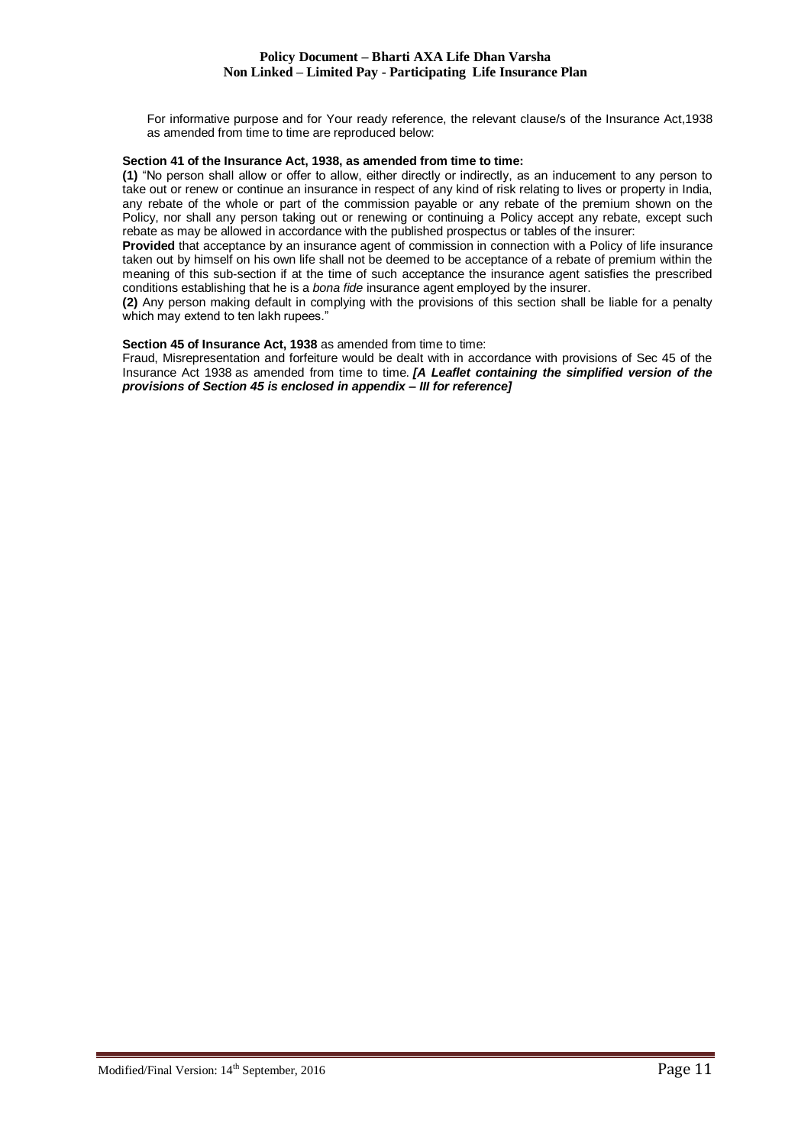For informative purpose and for Your ready reference, the relevant clause/s of the Insurance Act,1938 as amended from time to time are reproduced below:

### **Section 41 of the Insurance Act, 1938, as amended from time to time:**

**(1)** "No person shall allow or offer to allow, either directly or indirectly, as an inducement to any person to take out or renew or continue an insurance in respect of any kind of risk relating to lives or property in India, any rebate of the whole or part of the commission payable or any rebate of the premium shown on the Policy, nor shall any person taking out or renewing or continuing a Policy accept any rebate, except such rebate as may be allowed in accordance with the published prospectus or tables of the insurer:

**Provided** that acceptance by an insurance agent of commission in connection with a Policy of life insurance taken out by himself on his own life shall not be deemed to be acceptance of a rebate of premium within the meaning of this sub-section if at the time of such acceptance the insurance agent satisfies the prescribed conditions establishing that he is a *bona fide* insurance agent employed by the insurer.

**(2)** Any person making default in complying with the provisions of this section shall be liable for a penalty which may extend to ten lakh rupees."

#### **Section 45 of Insurance Act, 1938** as amended from time to time:

Fraud, Misrepresentation and forfeiture would be dealt with in accordance with provisions of Sec 45 of the Insurance Act 1938 as amended from time to time. *[A Leaflet containing the simplified version of the provisions of Section 45 is enclosed in appendix – III for reference]*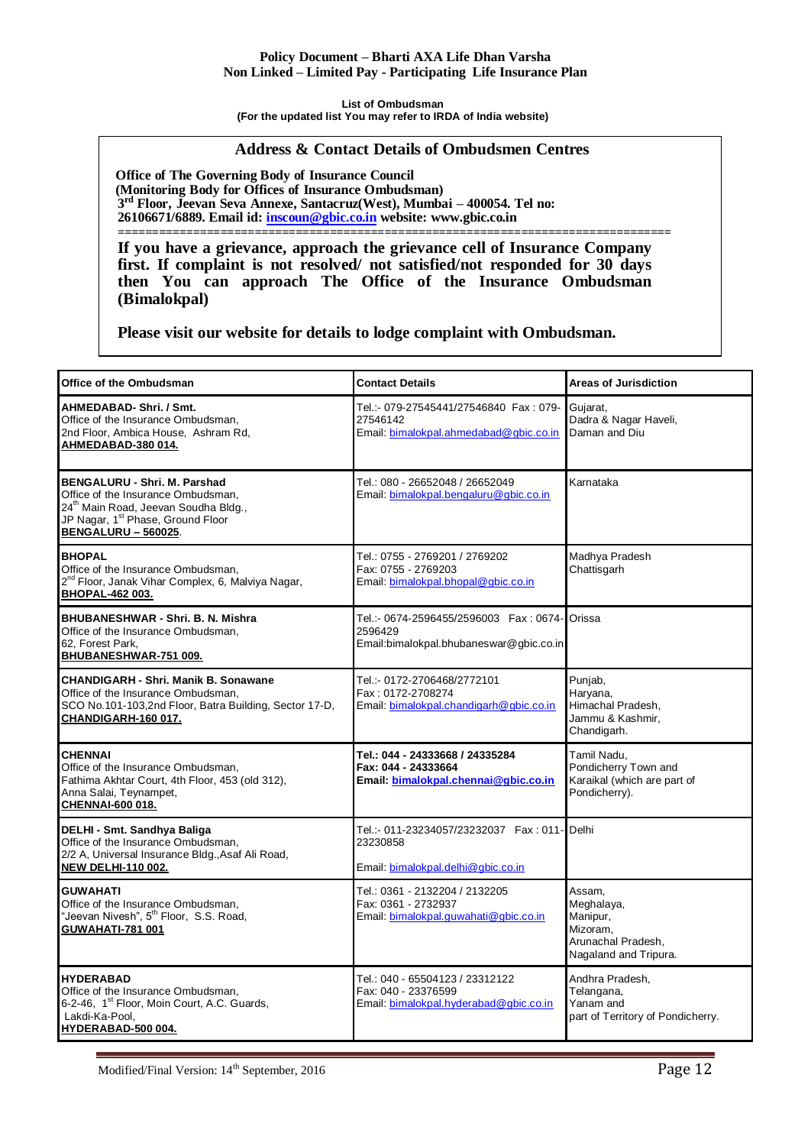**List of Ombudsman (For the updated list You may refer to IRDA of India website)**

# **Address & Contact Details of Ombudsmen Centres**

**Office of The Governing Body of Insurance Council (Monitoring Body for Offices of Insurance Ombudsman) 3 rd Floor, Jeevan Seva Annexe, Santacruz(West), Mumbai – 400054. Tel no: 26106671/6889. Email id: [inscoun@gbic.co.in](mailto:inscoun@gbic.co.in) website: [www.gbic.co.in](http://www.gbic.co.in/)**

**================================================================================= If you have a grievance, approach the grievance cell of Insurance Company first. If complaint is not resolved/ not satisfied/not responded for 30 days then You can approach The Office of the Insurance Ombudsman (Bimalokpal)** 

**Please visit our website for details to lodge complaint with Ombudsman.**

| Office of the Ombudsman                                                                                                                                                                        | <b>Contact Details</b>                                                                           | <b>Areas of Jurisdiction</b>                                                                |
|------------------------------------------------------------------------------------------------------------------------------------------------------------------------------------------------|--------------------------------------------------------------------------------------------------|---------------------------------------------------------------------------------------------|
| AHMEDABAD-Shri. / Smt.<br>Office of the Insurance Ombudsman,<br>2nd Floor, Ambica House, Ashram Rd,<br>AHMEDABAD-380 014.                                                                      | Tel.:- 079-27545441/27546840 Fax: 079-<br>27546142<br>Email: bimalokpal.ahmedabad@qbic.co.in     | Gujarat,<br>Dadra & Nagar Haveli,<br>Daman and Diu                                          |
| BENGALURU - Shri, M. Parshad<br>Office of the Insurance Ombudsman,<br>24 <sup>th</sup> Main Road, Jeevan Soudha Bldg.,<br>JP Nagar, 1 <sup>st</sup> Phase, Ground Floor<br>BENGALURU - 560025. | Tel.: 080 - 26652048 / 26652049<br>Email: bimalokpal.bengaluru@gbic.co.in                        | Karnataka                                                                                   |
| <b>BHOPAL</b><br>Office of the Insurance Ombudsman,<br>2 <sup>nd</sup> Floor, Janak Vihar Complex, 6, Malviya Nagar,<br><b>BHOPAL-462 003.</b>                                                 | Tel.: 0755 - 2769201 / 2769202<br>Fax: 0755 - 2769203<br>Email: bimalokpal.bhopal@gbic.co.in     | Madhya Pradesh<br>Chattisgarh                                                               |
| BHUBANESHWAR - Shri, B. N. Mishra<br>Office of the Insurance Ombudsman,<br>62, Forest Park,<br>BHUBANESHWAR-751 009.                                                                           | 2596429<br>Email:bimalokpal.bhubaneswar@gbic.co.in                                               | Orissa                                                                                      |
| <b>CHANDIGARH - Shri. Manik B. Sonawane</b><br>Office of the Insurance Ombudsman,<br>SCO No.101-103,2nd Floor, Batra Building, Sector 17-D,<br>CHANDIGARH-160 017.                             | Tel.:- 0172-2706468/2772101<br>Fax: 0172-2708274<br>Email: bimalokpal.chandigarh@gbic.co.in      | Punjab,<br>Haryana,<br>Himachal Pradesh,<br>Jammu & Kashmir,<br>Chandigarh.                 |
| <b>CHENNAI</b><br>Office of the Insurance Ombudsman,<br>Fathima Akhtar Court, 4th Floor, 453 (old 312),<br>Anna Salai, Teynampet,<br><b>CHENNAI-600 018.</b>                                   | Tel.: 044 - 24333668 / 24335284<br>Fax: 044 - 24333664<br>Email: bimalokpal.chennai@gbic.co.in   | Tamil Nadu,<br>Pondicherry Town and<br>Karaikal (which are part of<br>Pondicherry).         |
| DELHI - Smt. Sandhya Baliga<br>Office of the Insurance Ombudsman,<br>2/2 A, Universal Insurance Bldg., Asaf Ali Road,<br><b>NEW DELHI-110 002.</b>                                             | 23230858<br>Email: bimalokpal.delhi@qbic.co.in                                                   | Delhi                                                                                       |
| <b>GUWAHATI</b><br>Office of the Insurance Ombudsman,<br>" Jeevan Nivesh" 5 <sup>th</sup> Floor SS Road<br>"Jeevan Nivesh", 5 <sup>th</sup> Floor, S.S. Road,<br>GUWAHATI-781 001              | Tel.: 0361 - 2132204 / 2132205<br>Fax: 0361 - 2732937<br>Email: bimalokpal.quwahati@gbic.co.in   | Assam,<br>Meghalaya,<br>Manipur,<br>Mizoram,<br>Arunachal Pradesh,<br>Nagaland and Tripura. |
| <b>HYDERABAD</b><br>Office of the Insurance Ombudsman,<br>6-2-46, 1 <sup>st</sup> Floor, Moin Court, A.C. Guards,<br>Lakdi-Ka-Pool,<br>HYDERABAD-500 004.                                      | Tel.: 040 - 65504123 / 23312122<br>Fax: 040 - 23376599<br>Email: bimalokpal.hyderabad@gbic.co.in | Andhra Pradesh,<br>Telangana,<br>Yanam and<br>part of Territory of Pondicherry.             |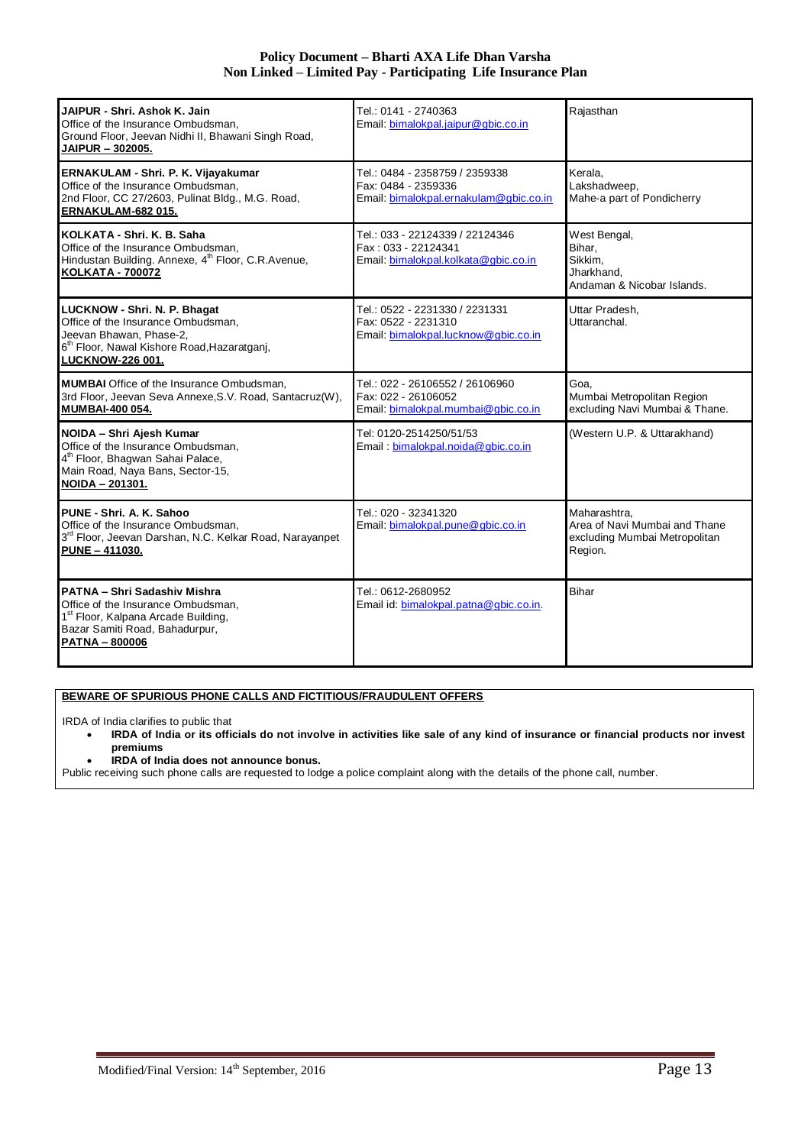| JAIPUR - Shri, Ashok K. Jain<br>Office of the Insurance Ombudsman,<br>Ground Floor, Jeevan Nidhi II, Bhawani Singh Road,<br>JAIPUR - 302005.                                   | Tel.: 0141 - 2740363<br>Email: bimalokpal.jaipur@gbic.co.in                                     | Rajasthan                                                                                 |
|--------------------------------------------------------------------------------------------------------------------------------------------------------------------------------|-------------------------------------------------------------------------------------------------|-------------------------------------------------------------------------------------------|
| ERNAKULAM - Shri. P. K. Vijayakumar<br>Office of the Insurance Ombudsman,<br>2nd Floor, CC 27/2603, Pulinat Bldg., M.G. Road,<br>ERNAKULAM-682 015.                            | Tel.: 0484 - 2358759 / 2359338<br>Fax: 0484 - 2359336<br>Email: bimalokpal.ernakulam@qbic.co.in | Kerala,<br>Lakshadweep,<br>Mahe-a part of Pondicherry                                     |
| KOLKATA - Shri, K. B. Saha<br>Office of the Insurance Ombudsman,<br>Hindustan Building. Annexe, 4 <sup>th</sup> Floor, C.R.Avenue,<br><b>KOLKATA - 700072</b>                  | Tel.: 033 - 22124339 / 22124346<br>Fax: 033 - 22124341<br>Email: bimalokpal.kolkata@qbic.co.in  | West Bengal,<br>Bihar,<br>Sikkim,<br>Jharkhand.<br>Andaman & Nicobar Islands.             |
| LUCKNOW - Shri. N. P. Bhagat<br>Office of the Insurance Ombudsman,<br>Jeevan Bhawan, Phase-2,<br>6 <sup>th</sup> Floor, Nawal Kishore Road, Hazaratganj,<br>LUCKNOW-226 001.   | Tel.: 0522 - 2231330 / 2231331<br>Fax: 0522 - 2231310<br>Email: bimalokpal.lucknow@gbic.co.in   | Uttar Pradesh,<br>Uttaranchal.                                                            |
| <b>MUMBAI</b> Office of the Insurance Ombudsman.<br>3rd Floor, Jeevan Seva Annexe, S.V. Road, Santacruz(W),<br>MUMBAI-400 054.                                                 | Tel.: 022 - 26106552 / 26106960<br>Fax: 022 - 26106052<br>Email: bimalokpal.mumbai@gbic.co.in   | Goa.<br>Mumbai Metropolitan Region<br>excluding Navi Mumbai & Thane.                      |
| NOIDA - Shri Ajesh Kumar<br>Office of the Insurance Ombudsman.<br>4 <sup>th</sup> Floor, Bhagwan Sahai Palace,<br>Main Road, Naya Bans, Sector-15,<br>NOIDA - 201301.          | Tel: 0120-2514250/51/53<br>Email bimalokpal.noida@gbic.co.in                                    | (Western U.P. & Uttarakhand)                                                              |
| PUNE - Shri, A. K. Sahoo<br>Office of the Insurance Ombudsman,<br>3 <sup>rd</sup> Floor, Jeevan Darshan, N.C. Kelkar Road, Narayanpet<br>PUNE - 411030.                        | Tel.: 020 - 32341320<br>Email: bimalokpal.pune@gbic.co.in                                       | Maharashtra,<br>Area of Navi Mumbai and Thane<br>excluding Mumbai Metropolitan<br>Region. |
| PATNA - Shri Sadashiv Mishra<br>Office of the Insurance Ombudsman.<br>1 <sup>st</sup> Floor, Kalpana Arcade Building,<br>Bazar Samiti Road, Bahadurpur,<br><b>PATNA-800006</b> | Tel.: 0612-2680952<br>Email id: bimalokpal.patna@qbic.co.in.                                    | <b>Bihar</b>                                                                              |

# **BEWARE OF SPURIOUS PHONE CALLS AND FICTITIOUS/FRAUDULENT OFFERS**

IRDA of India clarifies to public that

- **IRDA of India or its officials do not involve in activities like sale of any kind of insurance or financial products nor invest premiums**
- **IRDA of India does not announce bonus.**
- Public receiving such phone calls are requested to lodge a police complaint along with the details of the phone call, number.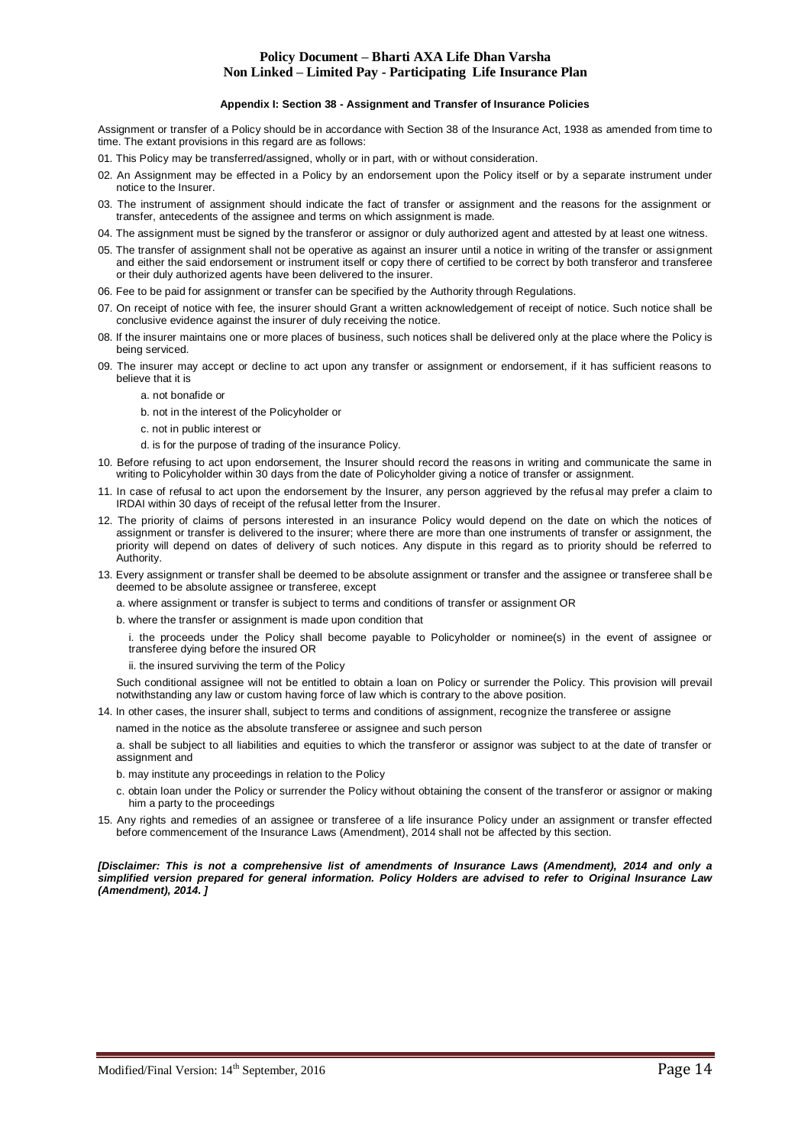#### **Appendix I: Section 38 - Assignment and Transfer of Insurance Policies**

Assignment or transfer of a Policy should be in accordance with Section 38 of the Insurance Act, 1938 as amended from time to time. The extant provisions in this regard are as follows:

- 01. This Policy may be transferred/assigned, wholly or in part, with or without consideration.
- 02. An Assignment may be effected in a Policy by an endorsement upon the Policy itself or by a separate instrument under notice to the Insurer.
- 03. The instrument of assignment should indicate the fact of transfer or assignment and the reasons for the assignment or transfer, antecedents of the assignee and terms on which assignment is made.
- 04. The assignment must be signed by the transferor or assignor or duly authorized agent and attested by at least one witness.
- 05. The transfer of assignment shall not be operative as against an insurer until a notice in writing of the transfer or assignment and either the said endorsement or instrument itself or copy there of certified to be correct by both transferor and transferee or their duly authorized agents have been delivered to the insurer.
- 06. Fee to be paid for assignment or transfer can be specified by the Authority through Regulations.
- 07. On receipt of notice with fee, the insurer should Grant a written acknowledgement of receipt of notice. Such notice shall be conclusive evidence against the insurer of duly receiving the notice.
- 08. If the insurer maintains one or more places of business, such notices shall be delivered only at the place where the Policy is being serviced.
- 09. The insurer may accept or decline to act upon any transfer or assignment or endorsement, if it has sufficient reasons to believe that it is
	- a. not bonafide or
	- b. not in the interest of the Policyholder or
	- c. not in public interest or
	- d. is for the purpose of trading of the insurance Policy.
- 10. Before refusing to act upon endorsement, the Insurer should record the reasons in writing and communicate the same in writing to Policyholder within 30 days from the date of Policyholder giving a notice of transfer or assignment.
- 11. In case of refusal to act upon the endorsement by the Insurer, any person aggrieved by the refusal may prefer a claim to IRDAI within 30 days of receipt of the refusal letter from the Insurer.
- 12. The priority of claims of persons interested in an insurance Policy would depend on the date on which the notices of assignment or transfer is delivered to the insurer; where there are more than one instruments of transfer or assignment, the priority will depend on dates of delivery of such notices. Any dispute in this regard as to priority should be referred to Authority.
- 13. Every assignment or transfer shall be deemed to be absolute assignment or transfer and the assignee or transferee shall be deemed to be absolute assignee or transferee, except
	- a. where assignment or transfer is subject to terms and conditions of transfer or assignment OR

b. where the transfer or assignment is made upon condition that

- i. the proceeds under the Policy shall become payable to Policyholder or nominee(s) in the event of assignee or transferee dying before the insured OR
- ii. the insured surviving the term of the Policy

Such conditional assignee will not be entitled to obtain a loan on Policy or surrender the Policy. This provision will prevail notwithstanding any law or custom having force of law which is contrary to the above position.

- 14. In other cases, the insurer shall, subject to terms and conditions of assignment, recognize the transferee or assigne
	- named in the notice as the absolute transferee or assignee and such person

a. shall be subject to all liabilities and equities to which the transferor or assignor was subject to at the date of transfer or assignment and

- b. may institute any proceedings in relation to the Policy
- c. obtain loan under the Policy or surrender the Policy without obtaining the consent of the transferor or assignor or making him a party to the proceedings
- 15. Any rights and remedies of an assignee or transferee of a life insurance Policy under an assignment or transfer effected before commencement of the Insurance Laws (Amendment), 2014 shall not be affected by this section.

*[Disclaimer: This is not a comprehensive list of amendments of Insurance Laws (Amendment), 2014 and only a simplified version prepared for general information. Policy Holders are advised to refer to Original Insurance Law (Amendment), 2014. ]*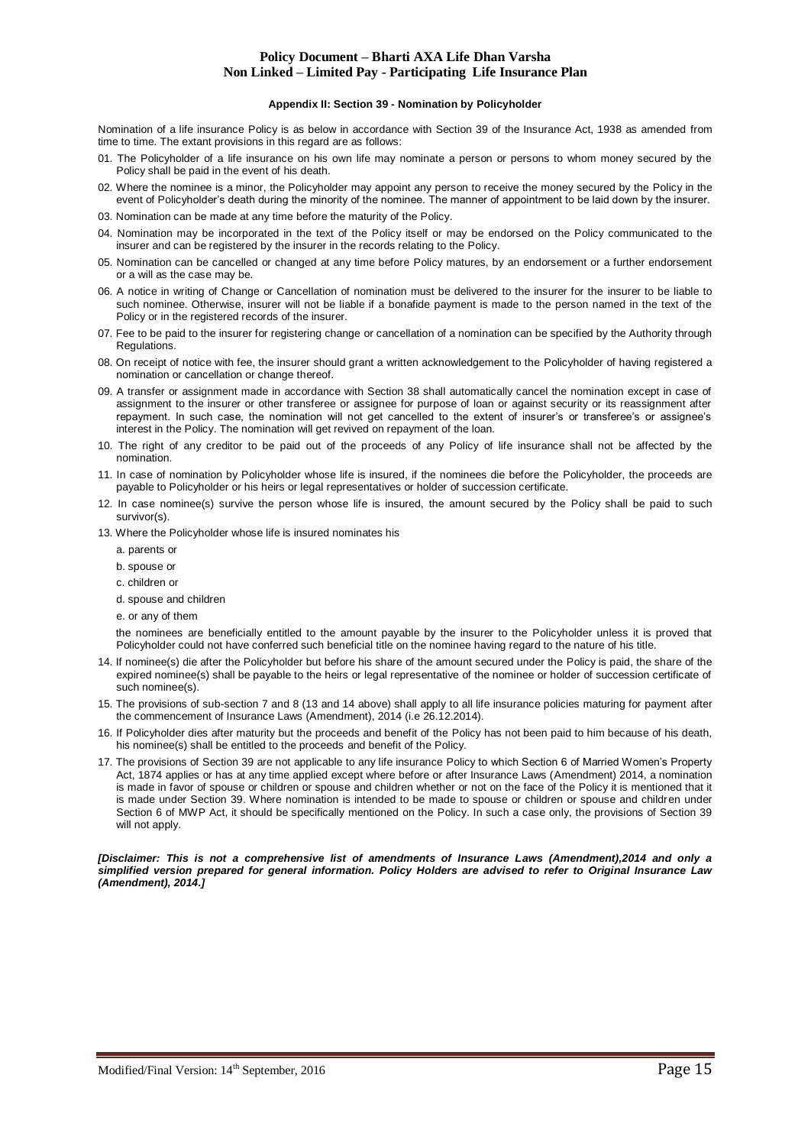#### **Appendix II: Section 39 - Nomination by Policyholder**

Nomination of a life insurance Policy is as below in accordance with Section 39 of the Insurance Act, 1938 as amended from time to time. The extant provisions in this regard are as follows:

- 01. The Policyholder of a life insurance on his own life may nominate a person or persons to whom money secured by the Policy shall be paid in the event of his death.
- 02. Where the nominee is a minor, the Policyholder may appoint any person to receive the money secured by the Policy in the event of Policyholder's death during the minority of the nominee. The manner of appointment to be laid down by the insurer.
- 03. Nomination can be made at any time before the maturity of the Policy.
- 04. Nomination may be incorporated in the text of the Policy itself or may be endorsed on the Policy communicated to the insurer and can be registered by the insurer in the records relating to the Policy.
- 05. Nomination can be cancelled or changed at any time before Policy matures, by an endorsement or a further endorsement or a will as the case may be.
- 06. A notice in writing of Change or Cancellation of nomination must be delivered to the insurer for the insurer to be liable to such nominee. Otherwise, insurer will not be liable if a bonafide payment is made to the person named in the text of the Policy or in the registered records of the insurer.
- 07. Fee to be paid to the insurer for registering change or cancellation of a nomination can be specified by the Authority through Regulations.
- 08. On receipt of notice with fee, the insurer should grant a written acknowledgement to the Policyholder of having registered a nomination or cancellation or change thereof.
- 09. A transfer or assignment made in accordance with Section 38 shall automatically cancel the nomination except in case of assignment to the insurer or other transferee or assignee for purpose of loan or against security or its reassignment after repayment. In such case, the nomination will not get cancelled to the extent of insurer's or transferee's or assignee's interest in the Policy. The nomination will get revived on repayment of the loan.
- 10. The right of any creditor to be paid out of the proceeds of any Policy of life insurance shall not be affected by the nomination.
- 11. In case of nomination by Policyholder whose life is insured, if the nominees die before the Policyholder, the proceeds are payable to Policyholder or his heirs or legal representatives or holder of succession certificate.
- 12. In case nominee(s) survive the person whose life is insured, the amount secured by the Policy shall be paid to such survivor(s).
- 13. Where the Policyholder whose life is insured nominates his
	- a. parents or
	- b. spouse or
	- c. children or
	- d. spouse and children
	- e. or any of them

 the nominees are beneficially entitled to the amount payable by the insurer to the Policyholder unless it is proved that Policyholder could not have conferred such beneficial title on the nominee having regard to the nature of his title.

- 14. If nominee(s) die after the Policyholder but before his share of the amount secured under the Policy is paid, the share of the expired nominee(s) shall be payable to the heirs or legal representative of the nominee or holder of succession certificate of such nominee(s).
- 15. The provisions of sub-section 7 and 8 (13 and 14 above) shall apply to all life insurance policies maturing for payment after the commencement of Insurance Laws (Amendment), 2014 (i.e 26.12.2014).
- 16. If Policyholder dies after maturity but the proceeds and benefit of the Policy has not been paid to him because of his death, his nominee(s) shall be entitled to the proceeds and benefit of the Policy.
- 17. The provisions of Section 39 are not applicable to any life insurance Policy to which Section 6 of Married Women's Property Act, 1874 applies or has at any time applied except where before or after Insurance Laws (Amendment) 2014, a nomination is made in favor of spouse or children or spouse and children whether or not on the face of the Policy it is mentioned that it is made under Section 39. Where nomination is intended to be made to spouse or children or spouse and children under Section 6 of MWP Act, it should be specifically mentioned on the Policy. In such a case only, the provisions of Section 39 will not apply.

*[Disclaimer: This is not a comprehensive list of amendments of Insurance Laws (Amendment),2014 and only a simplified version prepared for general information. Policy Holders are advised to refer to Original Insurance Law (Amendment), 2014.]*